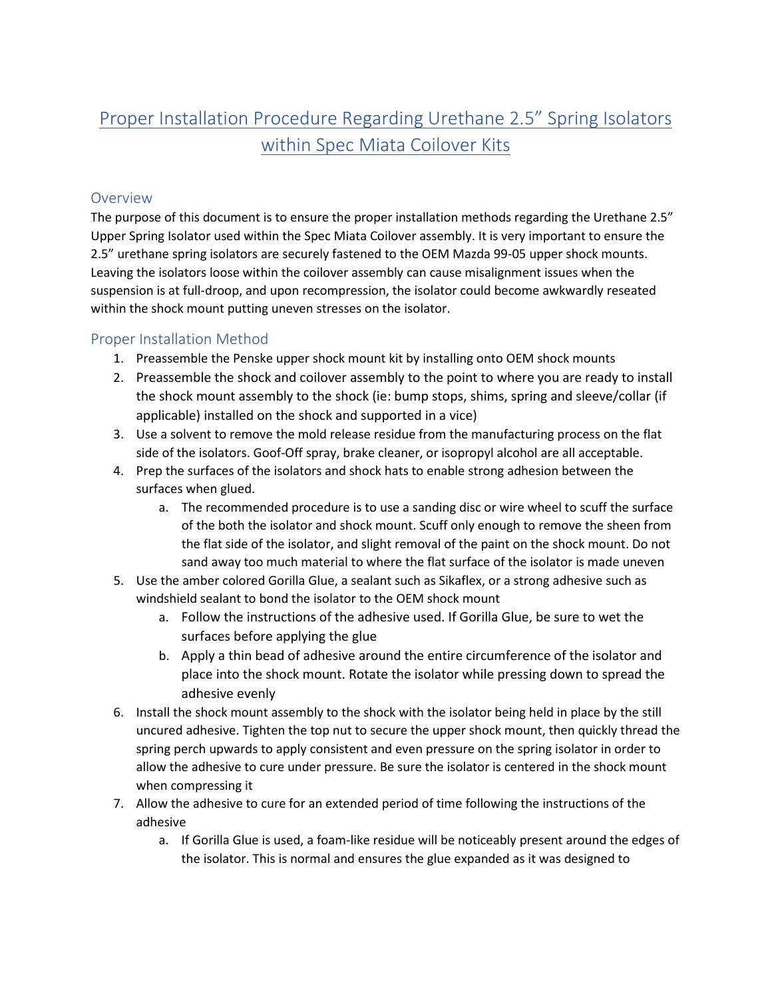## Proper Installation Procedure Regarding Urethane 2.5" Spring Isolators within Spec Miata Coilover Kits

## **Overview**

The purpose of this document is to ensure the proper installation methods regarding the Urethane 2.5" Upper Spring Isolator used within the Spec Miata Coilover assembly. It is very important to ensure the 2.5" urethane spring isolators are securely fastened to the OEM Mazda 99-05 upper shock mounts. Leaving the isolators loose within the coilover assembly can cause misalignment issues when the suspension is at full-droop, and upon recompression, the isolator could become awkwardly reseated within the shock mount putting uneven stresses on the isolator.

## Proper Installation Method

- 1. Preassemble the Penske upper shock mount kit by installing onto OEM shock mounts
- 2. Preassemble the shock and coilover assembly to the point to where you are ready to install the shock mount assembly to the shock (ie: bump stops, shims, spring and sleeve/collar (if applicable) installed on the shock and supported in a vice)
- 3. Use a solvent to remove the mold release residue from the manufacturing process on the flat side of the isolators. Goof-Off spray, brake cleaner, or isopropyl alcohol are all acceptable.
- 4. Prep the surfaces of the isolators and shock hats to enable strong adhesion between the surfaces when glued.
	- a. The recommended procedure is to use a sanding disc or wire wheel to scuff the surface of the both the isolator and shock mount. Scuff only enough to remove the sheen from the flat side of the isolator, and slight removal of the paint on the shock mount. Do not sand away too much material to where the flat surface of the isolator is made uneven
- 5. Use the amber colored Gorilla Glue, a sealant such as Sikaflex, or a strong adhesive such as windshield sealant to bond the isolator to the OEM shock mount
	- a. Follow the instructions of the adhesive used. If Gorilla Glue, be sure to wet the surfaces before applying the glue
	- b. Apply a thin bead of adhesive around the entire circumference of the isolator and place into the shock mount. Rotate the isolator while pressing down to spread the adhesive evenly
- 6. Install the shock mount assembly to the shock with the isolator being held in place by the still uncured adhesive. Tighten the top nut to secure the upper shock mount, then quickly thread the spring perch upwards to apply consistent and even pressure on the spring isolator in order to allow the adhesive to cure under pressure. Be sure the isolator is centered in the shock mount when compressing it
- 7. Allow the adhesive to cure for an extended period of time following the instructions of the adhesive
	- a. If Gorilla Glue is used, a foam-like residue will be noticeably present around the edges of the isolator. This is normal and ensures the glue expanded as it was designed to